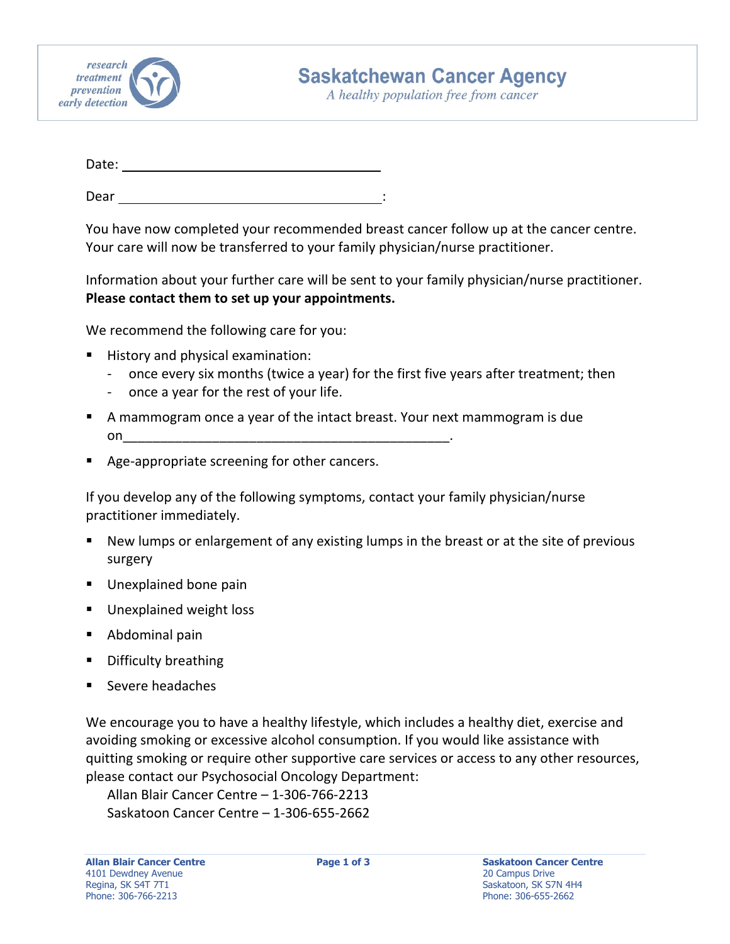

A healthy population free from cancer

| Date: |  |  |  |
|-------|--|--|--|
|       |  |  |  |

Dear :

You have now completed your recommended breast cancer follow up at the cancer centre. Your care will now be transferred to your family physician/nurse practitioner.

Information about your further care will be sent to your family physician/nurse practitioner. **Please contact them to set up your appointments.**

We recommend the following care for you:

- History and physical examination:
	- ‐ once every six months (twice a year) for the first five years after treatment; then
	- ‐ once a year for the rest of your life.
- A mammogram once a year of the intact breast. Your next mammogram is due on\_\_\_\_\_\_\_\_\_\_\_\_\_\_\_\_\_\_\_\_\_\_\_\_\_\_\_\_\_\_\_\_\_\_\_\_\_\_\_\_\_\_\_\_.
- Age-appropriate screening for other cancers.

If you develop any of the following symptoms, contact your family physician/nurse practitioner immediately.

- New lumps or enlargement of any existing lumps in the breast or at the site of previous surgery
- **Unexplained bone pain**
- **Unexplained weight loss**
- Abdominal pain
- Difficulty breathing
- Severe headaches

We encourage you to have a healthy lifestyle, which includes a healthy diet, exercise and avoiding smoking or excessive alcohol consumption. If you would like assistance with quitting smoking or require other supportive care services or access to any other resources, please contact our Psychosocial Oncology Department:

Allan Blair Cancer Centre – 1‐306‐766‐2213 Saskatoon Cancer Centre – 1‐306‐655‐2662